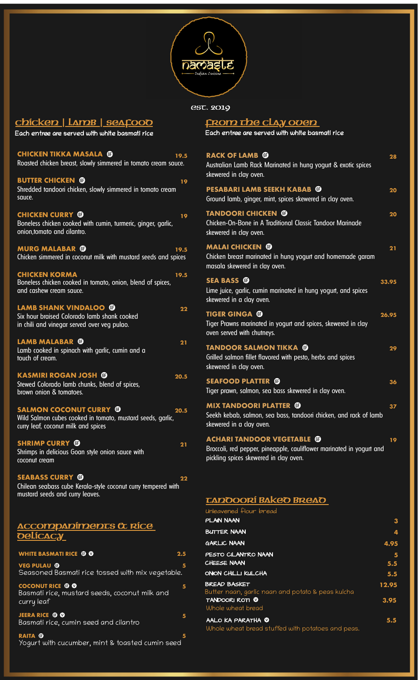

EST. 2019

| cbícken   Lame   seafood                                                                                                                   | <u>Гк</u>                       |
|--------------------------------------------------------------------------------------------------------------------------------------------|---------------------------------|
| Each entree are served with white basmati rice                                                                                             | Eac                             |
| <b>CHICKEN TIKKA MASALA ©</b><br>19.5<br>Roasted chicken breast, slowly simmered in tomato cream sauce.                                    | <b>RA</b><br>Aust<br>skev       |
| <b>BUTTER CHICKEN ®</b><br>19<br>Shredded tandoori chicken, slowly simmered in tomato cream<br>sauce.                                      | <b>PES</b><br>Gro               |
| <b>CHICKEN CURRY ®</b><br>19<br>Boneless chicken cooked with cumin, turmeric, ginger, garlic,<br>onion, tomato and cilantro.               | <b>TAI</b><br>Chic<br>skev      |
| <b>MURG MALABAR ®</b><br>19.5<br>Chicken simmered in coconut milk with mustard seeds and spices                                            | MA<br>Chic<br>mas               |
| <b>CHICKEN KORMA</b><br>19.5<br>Boneless chicken cooked in tomato, onion, blend of spices,<br>and cashew cream sauce.                      | <b>SE/</b><br>Lime<br>skev      |
| <b>LAMB SHANK VINDALOO ®</b><br>22<br>Six hour braised Colorado lamb shank cooked<br>in chili and vinegar served over veg pulao.           | <b>TIG</b><br>Tige<br>over      |
| <b>LAMB MALABAR ©</b><br>21<br>Lamb cooked in spinach with garlic, cumin and a<br>touch of cream.                                          | <b>TAI</b><br>Grill<br>skev     |
| <b>KASMIRI ROGAN JOSH ®</b><br>20.5<br>Stewed Colorado lamb chunks, blend of spices,<br>brown onion & tomatoes.                            | <b>SE/</b><br>Tige              |
| <b>SALMON COCONUT CURRY ®</b><br>20.5<br>Wild Salmon cubes cooked in tomato, mustard seeds, garlic,<br>curry leaf, coconut milk and spices | <b>MI</b><br>Seel<br>skev       |
| <b>SHRIMP CURRY ®</b><br>21<br>Shrimps in delicious Goan style onion sauce with<br>coconut cream                                           | <b>AC</b><br><b>Bro</b><br>pick |
| <b>SEABASS CURRY ®</b><br>22<br>Chilean seabass cube Kerala-style coconut curry tempered with<br>mustard seeds and curry leaves.           | LΔ                              |
| <u>ACCOMPADÍMENTS Œ RÍCE</u><br><b>Delícacy</b>                                                                                            | Unle<br>PLA<br>Bur<br>GAR       |
| <b>WHITE BASMATI RICE O O</b><br>2.5                                                                                                       | PES                             |
| <b>VEG PULAU ®</b><br>5<br>Seasoned Basmati rice tossed with mix vegetable.                                                                | CHE<br>ONIC                     |
| <b>COCONUT RICE © 0</b><br>$\overline{\mathbf{5}}$<br>Basmati rice, mustard seeds, coconut milk and                                        | <b>BRE</b><br><b>Butt</b>       |

**JEERA RICE 5**

**RAITA 5** Yogurt with cucumber, mint & toasted cumin seed

Basmati rice, cumin seed and cilantro

curry leaf

**FROM THE CLAY OVEN**

h entree are served with white basmati rice

| <b>RACK OF LAMB ®</b><br>28<br>Australian Lamb Rack Marinated in hung yogurt & exotic spices<br>skewered in clay oven.                                    |
|-----------------------------------------------------------------------------------------------------------------------------------------------------------|
| <b>PESABARI LAMB SEEKH KABAB ®</b><br>20<br>Ground lamb, ginger, mint, spices skewered in clay oven.                                                      |
| <b>TANDOORI CHICKEN ®</b><br>20<br>Chicken-On-Bone in A Traditional Classic Tandoor Marinade<br>skewered in clay oven.                                    |
| <b>MALAI CHICKEN ®</b><br>21<br>Chicken breast marinated in hung yogurt and homemade garam<br>masala skewered in clay oven.                               |
| <b>SEA BASS ®</b><br>33.95<br>Lime juice, garlic, cumin marinated in hung yogurt, and spices<br>skewered in a clay oven.                                  |
| <b>TIGER GINGA ®</b><br>26.95<br>Tiger Prawns marinated in yogurt and spices, skewered in clay<br>oven served with chutneys.                              |
| <b>TANDOOR SALMON TIKKA ®</b><br>29<br>Grilled salmon fillet flavored with pesto, herbs and spices<br>skewered in clay oven.                              |
| <b>SEAFOOD PLATTER</b><br>O<br>36<br>Tiger prawn, salmon, sea bass skewered in clay oven.                                                                 |
| <b>MIX TANDOORI PLATTER ®</b><br>37<br>Seekh kebab, salmon, sea bass, tandoori chicken, and rack of lamb<br>skewered in a clay oven.                      |
| <b>ACHARI TANDOOR VEGETABLE ®</b><br>19<br>Broccoli, red pepper, pineapple, cauliflower marinated in yogurt and<br>pickling spices skewered in clay oven. |
| <b>TADOOORÍ BAKEO BREAO</b>                                                                                                                               |

| Unleavened flour bread                                                        |                         |
|-------------------------------------------------------------------------------|-------------------------|
| PLAN NAAN                                                                     | 3                       |
| <b>BUTTER NAAN</b>                                                            | 4                       |
| <b>GARLIC NAAN</b>                                                            | 4.95                    |
| PESTO CILANTRO NAAN<br>CHEESE NAAN                                            | $\overline{\mathbf{5}}$ |
|                                                                               | 5.5                     |
| ONION CHILLI KULCHA                                                           | 5.5                     |
| <b>BREAD BASKET</b><br>Butter naan, garlic naan and potato & peas kulcha      | 12.95                   |
| <b>TANDOORI ROTI O</b><br>Whole wheat bread                                   | 3.95                    |
| AALO KA PARATHA <b>W</b><br>Whole wheat bread stuffed with potatoes and peas. | 5.5                     |